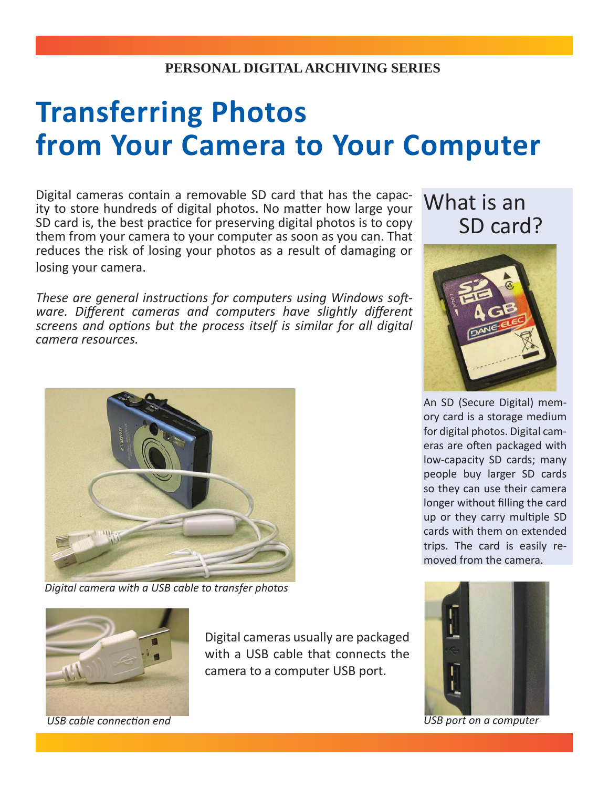## **PERSONAL DIGITAL ARCHIVING SERIES**

## **Transferring Photos from Your Camera to Your Computer**

Digital cameras contain a removable SD card that has the capacity to store hundreds of digital photos. No matter how large your SD card is, the best practice for preserving digital photos is to copy them from your camera to your computer as soon as you can. That reduces the risk of losing your photos as a result of damaging or losing your camera.

*These are general instructions for computers using Windows software. Different cameras and computers have slightly different screens and opti ons but the process itself is similar for all digital camera resources.* 



*Digital camera with a USB cable to transfer photos*





An SD (Secure Digital) memory card is a storage medium for digital photos. Digital cameras are often packaged with low-capacity SD cards; many people buy larger SD cards so they can use their camera longer without filling the card up or they carry multiple SD cards with them on extended trips. The card is easily removed from the camera.



*USB cable connection end USB port on a computer* 

Digital cameras usually are packaged with a USB cable that connects the camera to a computer USB port.

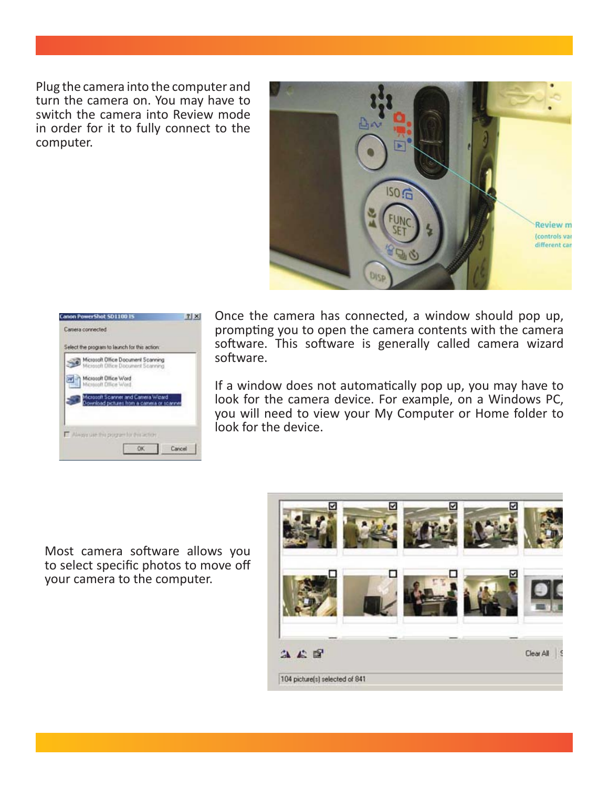Plug the camera into the computer and turn the camera on. You may have to switch the camera into Review mode in order for it to fully connect to the computer.



| Microsoft Office Document Scanning<br>Microsoft Office Document Scanning       |  |
|--------------------------------------------------------------------------------|--|
| Microsoft Office Word<br>Microsoft Office Word                                 |  |
| Microsoft Scanner and Camera Wizard<br>writiad pictures from a camera or scann |  |

Once the camera has connected, a window should pop up, prompting you to open the camera contents with the camera software. This software is generally called camera wizard software.

If a window does not automatically pop up, you may have to look for the camera device. For example, on a Windows PC, you will need to view your My Computer or Home folder to look for the device.

Most camera software allows you to select specific photos to move off your camera to the computer.

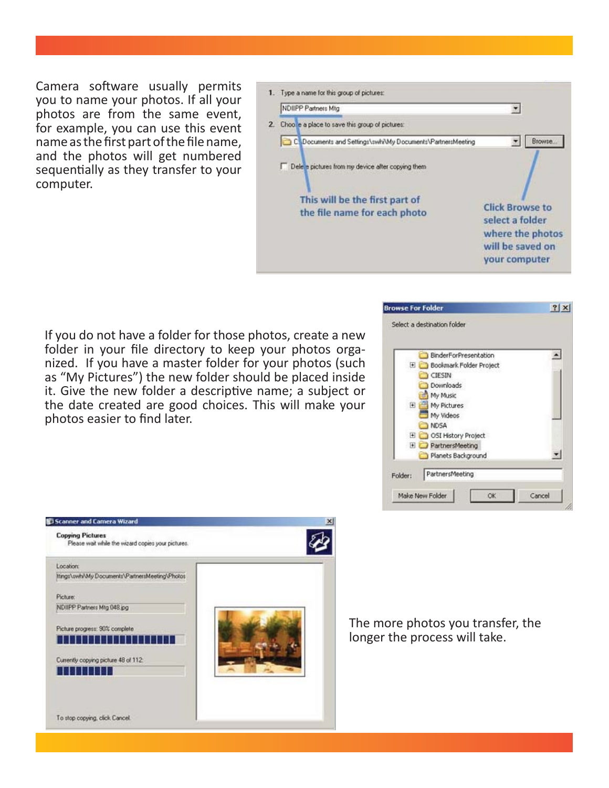Camera software usually permits you to name your photos. If all your photos are from the same event, for example, you can use this event name as the first part of the file name, and the photos will get numbered sequentially as they transfer to your computer.



If you do not have a folder for those photos, create a new folder in your file directory to keep your photos organized. If you have a master folder for your photos (such as "My Pictures") the new folder should be placed inside it. Give the new folder a descriptive name; a subject or the date created are good choices. This will make your photos easier to find later.





The more photos you transfer, the longer the process will take.